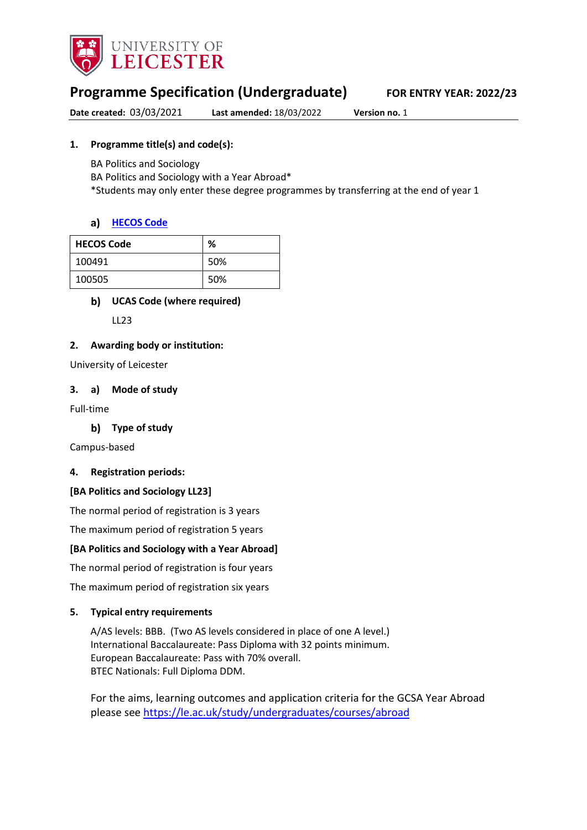

# **Programme Specification (Undergraduate) FOR ENTRY YEAR: 2022/23**

**Date created:** 03/03/2021 **Last amended:** 18/03/2022 **Version no.** 1

### **1. Programme title(s) and code(s):**

BA Politics and Sociology

BA Politics and Sociology with a Year Abroad\*

\*Students may only enter these degree programmes by transferring at the end of year 1

#### **[HECOS Code](https://www.hesa.ac.uk/innovation/hecos)**

| <b>HECOS Code</b> | %   |
|-------------------|-----|
| 100491            | 50% |
| 100505            | 50% |

### **UCAS Code (where required)**

LL23

#### **2. Awarding body or institution:**

University of Leicester

#### **3. a) Mode of study**

Full-time

**Type of study**

Campus-based

#### **4. Registration periods:**

#### **[BA Politics and Sociology LL23]**

The normal period of registration is 3 years

The maximum period of registration 5 years

#### **[BA Politics and Sociology with a Year Abroad]**

The normal period of registration is four years

The maximum period of registration six years

#### **5. Typical entry requirements**

A/AS levels: BBB. (Two AS levels considered in place of one A level.) International Baccalaureate: Pass Diploma with 32 points minimum. European Baccalaureate: Pass with 70% overall. BTEC Nationals: Full Diploma DDM.

For the aims, learning outcomes and application criteria for the GCSA Year Abroad please see <https://le.ac.uk/study/undergraduates/courses/abroad>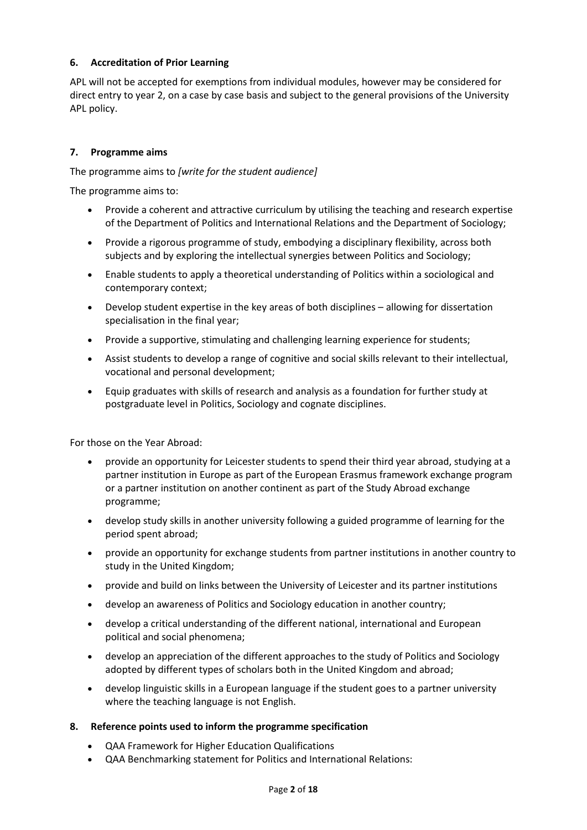### **6. Accreditation of Prior Learning**

APL will not be accepted for exemptions from individual modules, however may be considered for direct entry to year 2, on a case by case basis and subject to the general provisions of the University APL policy.

#### **7. Programme aims**

The programme aims to *[write for the student audience]*

The programme aims to:

- Provide a coherent and attractive curriculum by utilising the teaching and research expertise of the Department of Politics and International Relations and the Department of Sociology;
- Provide a rigorous programme of study, embodying a disciplinary flexibility, across both subjects and by exploring the intellectual synergies between Politics and Sociology;
- Enable students to apply a theoretical understanding of Politics within a sociological and contemporary context;
- Develop student expertise in the key areas of both disciplines allowing for dissertation specialisation in the final year;
- Provide a supportive, stimulating and challenging learning experience for students;
- Assist students to develop a range of cognitive and social skills relevant to their intellectual, vocational and personal development;
- Equip graduates with skills of research and analysis as a foundation for further study at postgraduate level in Politics, Sociology and cognate disciplines.

For those on the Year Abroad:

- provide an opportunity for Leicester students to spend their third year abroad, studying at a partner institution in Europe as part of the European Erasmus framework exchange program or a partner institution on another continent as part of the Study Abroad exchange programme;
- develop study skills in another university following a guided programme of learning for the period spent abroad;
- provide an opportunity for exchange students from partner institutions in another country to study in the United Kingdom;
- provide and build on links between the University of Leicester and its partner institutions
- develop an awareness of Politics and Sociology education in another country;
- develop a critical understanding of the different national, international and European political and social phenomena;
- develop an appreciation of the different approaches to the study of Politics and Sociology adopted by different types of scholars both in the United Kingdom and abroad;
- develop linguistic skills in a European language if the student goes to a partner university where the teaching language is not English.

#### **8. Reference points used to inform the programme specification**

- QAA Framework for Higher Education Qualifications
- QAA Benchmarking statement for Politics and International Relations: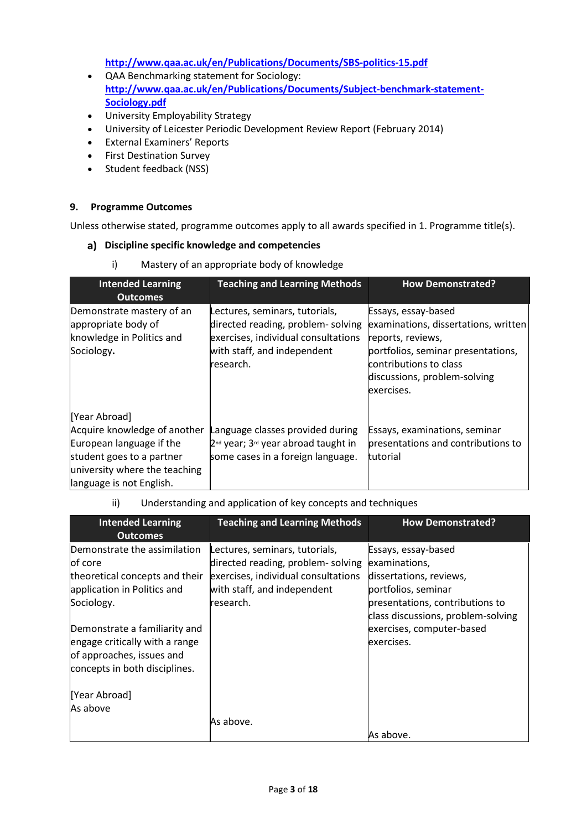**<http://www.qaa.ac.uk/en/Publications/Documents/SBS-politics-15.pdf>**

- QAA Benchmarking statement for Sociology: **[http://www.qaa.ac.uk/en/Publications/Documents/Subject-benchmark-statement-](http://www.qaa.ac.uk/en/Publications/Documents/Subject-benchmark-statement-Sociology.pdf)[Sociology.pdf](http://www.qaa.ac.uk/en/Publications/Documents/Subject-benchmark-statement-Sociology.pdf)**
- University Employability Strategy
- University of Leicester Periodic Development Review Report (February 2014)
- External Examiners' Reports
- First Destination Survey
- Student feedback (NSS)

#### **9. Programme Outcomes**

language is not English.

Unless otherwise stated, programme outcomes apply to all awards specified in 1. Programme title(s).

#### **Discipline specific knowledge and competencies**

| .,<br><b>Mastery of all appropriate body of Knowledge</b>                                                                               |                                                                                                                                                        |                                                                                                                                                                                                |  |
|-----------------------------------------------------------------------------------------------------------------------------------------|--------------------------------------------------------------------------------------------------------------------------------------------------------|------------------------------------------------------------------------------------------------------------------------------------------------------------------------------------------------|--|
| <b>Intended Learning</b><br><b>Outcomes</b>                                                                                             | <b>Teaching and Learning Methods</b>                                                                                                                   | <b>How Demonstrated?</b>                                                                                                                                                                       |  |
| Demonstrate mastery of an<br>appropriate body of<br>knowledge in Politics and<br>Sociology.                                             | Lectures, seminars, tutorials,<br>directed reading, problem-solving<br>exercises, individual consultations<br>with staff, and independent<br>research. | Essays, essay-based<br>examinations, dissertations, written<br>reports, reviews,<br>portfolios, seminar presentations,<br>contributions to class<br>discussions, problem-solving<br>exercises. |  |
| [Year Abroad]<br>Acquire knowledge of another<br>European language if the<br>student goes to a partner<br>university where the teaching | Language classes provided during<br>2 <sup>nd</sup> year; 3 <sup>rd</sup> year abroad taught in<br>some cases in a foreign language.                   | Essays, examinations, seminar<br>presentations and contributions to<br>tutorial                                                                                                                |  |

i) Mastery of an appropriate body of knowledge

| ii) | Understanding and application of key concepts and techniques |
|-----|--------------------------------------------------------------|
|-----|--------------------------------------------------------------|

| <b>Intended Learning</b><br><b>Outcomes</b>                                                                                                                                                                            | <b>Teaching and Learning Methods</b>                                                                                                                   | <b>How Demonstrated?</b>                                                                                                                                                                                   |
|------------------------------------------------------------------------------------------------------------------------------------------------------------------------------------------------------------------------|--------------------------------------------------------------------------------------------------------------------------------------------------------|------------------------------------------------------------------------------------------------------------------------------------------------------------------------------------------------------------|
| Demonstrate the assimilation<br>of core<br>theoretical concepts and their<br>application in Politics and<br>Sociology.<br>Demonstrate a familiarity and<br>engage critically with a range<br>of approaches, issues and | Lectures, seminars, tutorials,<br>directed reading, problem-solving<br>exercises, individual consultations<br>with staff, and independent<br>research. | Essays, essay-based<br>examinations,<br>dissertations, reviews,<br>portfolios, seminar<br>presentations, contributions to<br>class discussions, problem-solving<br>exercises, computer-based<br>exercises. |
| concepts in both disciplines.<br>[Year Abroad]<br>As above                                                                                                                                                             | As above.                                                                                                                                              | As above.                                                                                                                                                                                                  |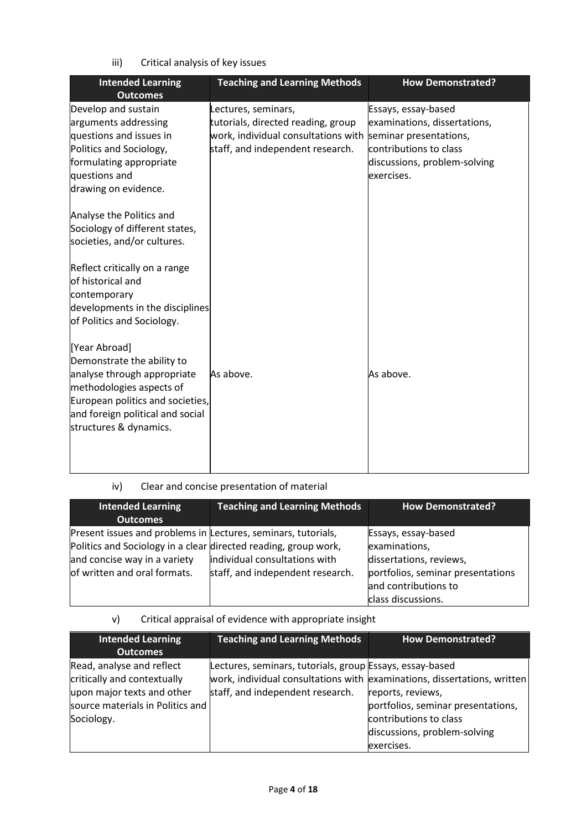iii) Critical analysis of key issues

| <b>Intended Learning</b><br><b>Outcomes</b> | <b>Teaching and Learning Methods</b> | <b>How Demonstrated?</b>     |
|---------------------------------------------|--------------------------------------|------------------------------|
| Develop and sustain                         | Lectures, seminars,                  | Essays, essay-based          |
| arguments addressing                        | tutorials, directed reading, group   | examinations, dissertations, |
| questions and issues in                     | work, individual consultations with  | seminar presentations,       |
| Politics and Sociology,                     | staff, and independent research.     | contributions to class       |
| formulating appropriate                     |                                      | discussions, problem-solving |
| questions and                               |                                      | exercises.                   |
| drawing on evidence.                        |                                      |                              |
| Analyse the Politics and                    |                                      |                              |
| Sociology of different states,              |                                      |                              |
| societies, and/or cultures.                 |                                      |                              |
| Reflect critically on a range               |                                      |                              |
| of historical and                           |                                      |                              |
| contemporary                                |                                      |                              |
| developments in the disciplines             |                                      |                              |
| of Politics and Sociology.                  |                                      |                              |
| [Year Abroad]                               |                                      |                              |
| Demonstrate the ability to                  |                                      |                              |
| analyse through appropriate                 | As above.                            | As above.                    |
| methodologies aspects of                    |                                      |                              |
| European politics and societies,            |                                      |                              |
| and foreign political and social            |                                      |                              |
| structures & dynamics.                      |                                      |                              |
|                                             |                                      |                              |
|                                             |                                      |                              |
|                                             |                                      |                              |

## iv) Clear and concise presentation of material

| <b>Intended Learning</b><br><b>Outcomes</b>                                                                                                                                                      | <b>Teaching and Learning Methods</b>                              | <b>How Demonstrated?</b>                                                                                                                           |
|--------------------------------------------------------------------------------------------------------------------------------------------------------------------------------------------------|-------------------------------------------------------------------|----------------------------------------------------------------------------------------------------------------------------------------------------|
| Present issues and problems in Lectures, seminars, tutorials,<br>Politics and Sociology in a clear directed reading, group work,<br>and concise way in a variety<br>of written and oral formats. | individual consultations with<br>staff, and independent research. | Essays, essay-based<br>examinations,<br>dissertations, reviews,<br>portfolios, seminar presentations<br>and contributions to<br>class discussions. |

## v) Critical appraisal of evidence with appropriate insight

| <b>Intended Learning</b>         | <b>Teaching and Learning Methods</b>                     | <b>How Demonstrated?</b>                                                 |
|----------------------------------|----------------------------------------------------------|--------------------------------------------------------------------------|
| <b>Outcomes</b>                  |                                                          |                                                                          |
| Read, analyse and reflect        | Lectures, seminars, tutorials, group Essays, essay-based |                                                                          |
| critically and contextually      |                                                          | work, individual consultations with examinations, dissertations, written |
| upon major texts and other       | staff, and independent research.                         | reports, reviews,                                                        |
| source materials in Politics and |                                                          | portfolios, seminar presentations,                                       |
| Sociology.                       |                                                          | contributions to class                                                   |
|                                  |                                                          | discussions, problem-solving                                             |
|                                  |                                                          | exercises.                                                               |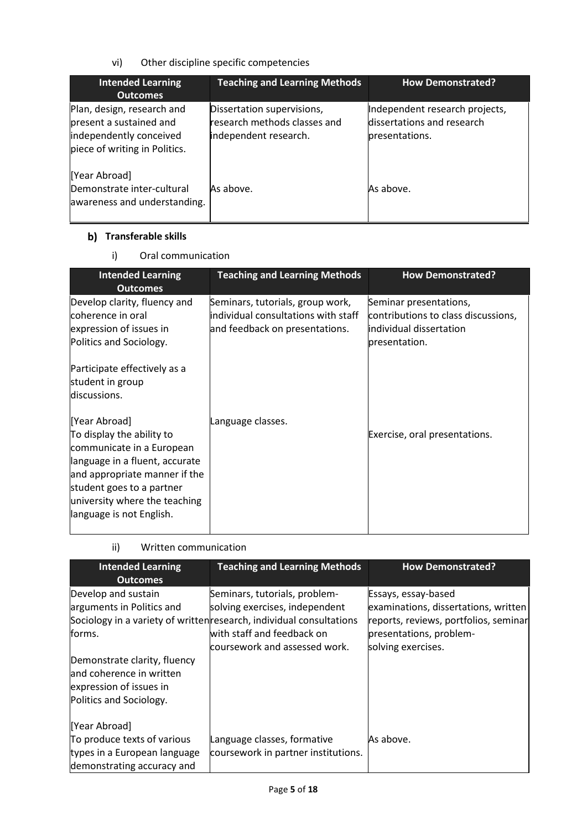vi) Other discipline specific competencies

| <b>Intended Learning</b><br><b>Outcomes</b>                                                                       | <b>Teaching and Learning Methods</b>                                                | <b>How Demonstrated?</b>                                                       |
|-------------------------------------------------------------------------------------------------------------------|-------------------------------------------------------------------------------------|--------------------------------------------------------------------------------|
| Plan, design, research and<br>present a sustained and<br>independently conceived<br>piece of writing in Politics. | Dissertation supervisions,<br>research methods classes and<br>independent research. | Independent research projects,<br>dissertations and research<br>presentations. |
| [Year Abroad]<br>Demonstrate inter-cultural<br>awareness and understanding.                                       | As above.                                                                           | As above.                                                                      |

### **b)** Transferable skills

i) Oral communication

| <b>Intended Learning</b><br><b>Outcomes</b>                                                                                                                                                                                          | <b>Teaching and Learning Methods</b>                                                                       | <b>How Demonstrated?</b>                                                                                  |
|--------------------------------------------------------------------------------------------------------------------------------------------------------------------------------------------------------------------------------------|------------------------------------------------------------------------------------------------------------|-----------------------------------------------------------------------------------------------------------|
| Develop clarity, fluency and<br>coherence in oral<br>expression of issues in<br>Politics and Sociology.                                                                                                                              | Seminars, tutorials, group work,<br>lindividual consultations with staff<br>and feedback on presentations. | Seminar presentations,<br>contributions to class discussions,<br>individual dissertation<br>presentation. |
| Participate effectively as a<br>student in group<br>discussions.                                                                                                                                                                     |                                                                                                            |                                                                                                           |
| [Year Abroad]<br>To display the ability to<br>communicate in a European<br>language in a fluent, accurate<br>and appropriate manner if the<br>student goes to a partner<br>university where the teaching<br>language is not English. | Language classes.                                                                                          | Exercise, oral presentations.                                                                             |

| ii) | Written communication |
|-----|-----------------------|
|     |                       |

| <b>Intended Learning</b><br><b>Outcomes</b>                                                                    | <b>Teaching and Learning Methods</b>                                                                                                                                                                   | <b>How Demonstrated?</b>                                                                                                                              |
|----------------------------------------------------------------------------------------------------------------|--------------------------------------------------------------------------------------------------------------------------------------------------------------------------------------------------------|-------------------------------------------------------------------------------------------------------------------------------------------------------|
| Develop and sustain<br>arguments in Politics and<br>forms.                                                     | Seminars, tutorials, problem-<br>solving exercises, independent<br>Sociology in a variety of written research, individual consultations<br>with staff and feedback on<br>coursework and assessed work. | Essays, essay-based<br>examinations, dissertations, written<br>reports, reviews, portfolios, seminar<br>presentations, problem-<br>solving exercises. |
| Demonstrate clarity, fluency<br>and coherence in written<br>expression of issues in<br>Politics and Sociology. |                                                                                                                                                                                                        |                                                                                                                                                       |
| [Year Abroad]<br>To produce texts of various<br>types in a European language<br>demonstrating accuracy and     | Language classes, formative<br>coursework in partner institutions.                                                                                                                                     | As above.                                                                                                                                             |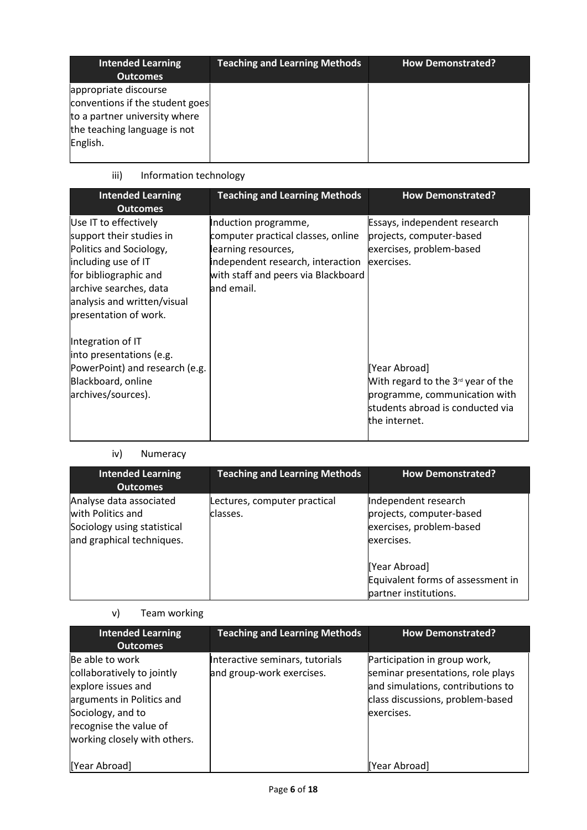| <b>Intended Learning</b><br><b>Outcomes</b>                                                                                           | <b>Teaching and Learning Methods</b> | <b>How Demonstrated?</b> |
|---------------------------------------------------------------------------------------------------------------------------------------|--------------------------------------|--------------------------|
| appropriate discourse<br>conventions if the student goes<br>to a partner university where<br>the teaching language is not<br>English. |                                      |                          |

## iii) Information technology

| <b>Intended Learning</b><br><b>Outcomes</b>                                                                                                                                                                                                                                                                                                   | <b>Teaching and Learning Methods</b>                                                                                                                                        | <b>How Demonstrated?</b>                                                                                                                                                                                                                          |
|-----------------------------------------------------------------------------------------------------------------------------------------------------------------------------------------------------------------------------------------------------------------------------------------------------------------------------------------------|-----------------------------------------------------------------------------------------------------------------------------------------------------------------------------|---------------------------------------------------------------------------------------------------------------------------------------------------------------------------------------------------------------------------------------------------|
| Use IT to effectively<br>support their studies in<br>Politics and Sociology,<br>including use of IT<br>for bibliographic and<br>archive searches, data<br>analysis and written/visual<br>presentation of work.<br>Integration of IT<br>into presentations (e.g.<br>PowerPoint) and research (e.g.<br>Blackboard, online<br>archives/sources). | Induction programme,<br>computer practical classes, online<br>learning resources,<br>independent research, interaction<br>with staff and peers via Blackboard<br>and email. | Essays, independent research<br>projects, computer-based<br>exercises, problem-based<br>exercises.<br>[Year Abroad]<br>With regard to the $3rd$ year of the<br>programme, communication with<br>students abroad is conducted via<br>the internet. |

## iv) Numeracy

| <b>Intended Learning</b><br><b>Outcomes</b>                                                              | <b>Teaching and Learning Methods</b>     | <b>How Demonstrated?</b>                                                                   |
|----------------------------------------------------------------------------------------------------------|------------------------------------------|--------------------------------------------------------------------------------------------|
| Analyse data associated<br>with Politics and<br>Sociology using statistical<br>and graphical techniques. | Lectures, computer practical<br>classes. | Independent research<br>projects, computer-based<br>exercises, problem-based<br>exercises. |
|                                                                                                          |                                          | [Year Abroad]<br>Equivalent forms of assessment in<br>partner institutions.                |

## v) Team working

| <b>Intended Learning</b><br><b>Outcomes</b>                                                                                                                                     | <b>Teaching and Learning Methods</b>                         | <b>How Demonstrated?</b>                                                                                                                                 |
|---------------------------------------------------------------------------------------------------------------------------------------------------------------------------------|--------------------------------------------------------------|----------------------------------------------------------------------------------------------------------------------------------------------------------|
| Be able to work<br>collaboratively to jointly<br>explore issues and<br>arguments in Politics and<br>Sociology, and to<br>recognise the value of<br>working closely with others. | Interactive seminars, tutorials<br>and group-work exercises. | Participation in group work,<br>seminar presentations, role plays<br>and simulations, contributions to<br>class discussions, problem-based<br>exercises. |
| [Year Abroad]                                                                                                                                                                   |                                                              | Year Abroad]                                                                                                                                             |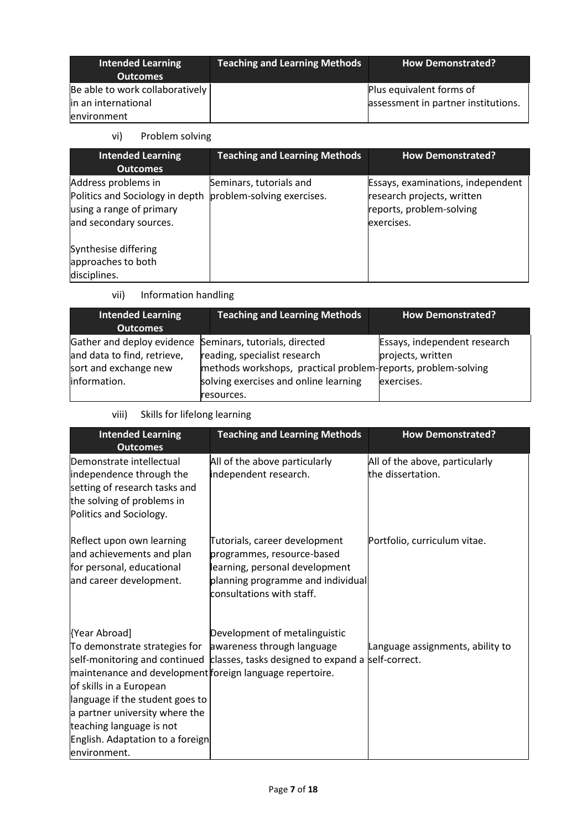| Intended Learning<br><b>Outcomes</b> | Teaching and Learning Methods | <b>How Demonstrated?</b>            |
|--------------------------------------|-------------------------------|-------------------------------------|
| Be able to work collaboratively      |                               | Plus equivalent forms of            |
| in an international                  |                               | assessment in partner institutions. |
| environment                          |                               |                                     |

### vi) Problem solving

| <b>Intended Learning</b><br><b>Outcomes</b>                                                                  | <b>Teaching and Learning Methods</b>                  | <b>How Demonstrated?</b>                                                                                  |
|--------------------------------------------------------------------------------------------------------------|-------------------------------------------------------|-----------------------------------------------------------------------------------------------------------|
| Address problems in<br>Politics and Sociology in depth<br>using a range of primary<br>and secondary sources. | Seminars, tutorials and<br>problem-solving exercises. | Essays, examinations, independent<br>research projects, written<br>reports, problem-solving<br>exercises. |
| Synthesise differing<br>approaches to both<br>disciplines.                                                   |                                                       |                                                                                                           |

vii) Information handling

| <b>Intended Learning</b><br><b>Outcomes</b>              | <b>Teaching and Learning Methods</b>                          | <b>How Demonstrated?</b>     |
|----------------------------------------------------------|---------------------------------------------------------------|------------------------------|
| Gather and deploy evidence Seminars, tutorials, directed |                                                               | Essays, independent research |
| and data to find, retrieve,                              | reading, specialist research                                  | projects, written            |
| sort and exchange new                                    | methods workshops, practical problem-reports, problem-solving |                              |
| information.                                             | solving exercises and online learning                         | exercises.                   |
|                                                          | resources.                                                    |                              |

viii) Skills for lifelong learning

| <b>Intended Learning</b><br><b>Outcomes</b>                                                                                                                                                                                                                                                | <b>Teaching and Learning Methods</b>                                                                                                                            | <b>How Demonstrated?</b>                            |
|--------------------------------------------------------------------------------------------------------------------------------------------------------------------------------------------------------------------------------------------------------------------------------------------|-----------------------------------------------------------------------------------------------------------------------------------------------------------------|-----------------------------------------------------|
| Demonstrate intellectual<br>independence through the<br>setting of research tasks and<br>the solving of problems in<br>Politics and Sociology.                                                                                                                                             | All of the above particularly<br>independent research.                                                                                                          | All of the above, particularly<br>the dissertation. |
| Reflect upon own learning<br>and achievements and plan<br>for personal, educational<br>and career development.                                                                                                                                                                             | Tutorials, career development<br>programmes, resource-based<br>learning, personal development<br>planning programme and individual<br>consultations with staff. | Portfolio, curriculum vitae.                        |
| {Year Abroad]<br>To demonstrate strategies for<br>maintenance and development foreign language repertoire.<br>of skills in a European<br>language if the student goes to<br>a partner university where the<br>teaching language is not<br>English. Adaptation to a foreign<br>environment. | Development of metalinguistic<br>awareness through language<br>self-monitoring and continued classes, tasks designed to expand a self-correct.                  | Language assignments, ability to                    |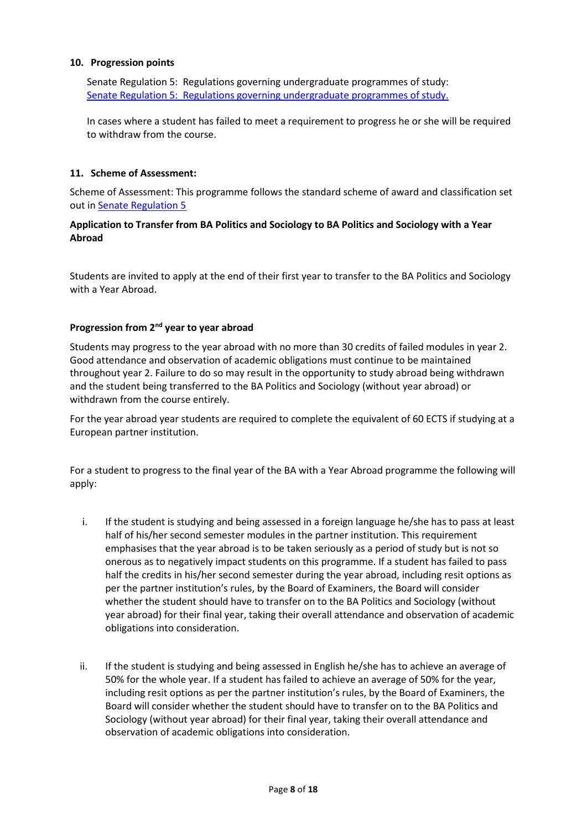#### **10. Progression points**

Senate Regulation 5: Regulations governing undergraduate programmes of study: Senate Regulation 5: [Regulations governing undergraduate programmes of study.](http://www2.le.ac.uk/offices/sas2/regulations/documents/senatereg5-undergraduates.pdf)

In cases where a student has failed to meet a requirement to progress he or she will be required to withdraw from the course.

#### **11. Scheme of Assessment:**

Scheme of Assessment: This programme follows the standard scheme of award and classification set out in **[Senate Regulation 5](http://www2.le.ac.uk/offices/sas2/regulations/documents/senatereg5-undergraduates.pdf)** 

#### **Application to Transfer from BA Politics and Sociology to BA Politics and Sociology with a Year Abroad**

Students are invited to apply at the end of their first year to transfer to the BA Politics and Sociology with a Year Abroad.

#### **Progression from 2nd year to year abroad**

Students may progress to the year abroad with no more than 30 credits of failed modules in year 2. Good attendance and observation of academic obligations must continue to be maintained throughout year 2. Failure to do so may result in the opportunity to study abroad being withdrawn and the student being transferred to the BA Politics and Sociology (without year abroad) or withdrawn from the course entirely.

For the year abroad year students are required to complete the equivalent of 60 ECTS if studying at a European partner institution.

For a student to progress to the final year of the BA with a Year Abroad programme the following will apply:

- i. If the student is studying and being assessed in a foreign language he/she has to pass at least half of his/her second semester modules in the partner institution. This requirement emphasises that the year abroad is to be taken seriously as a period of study but is not so onerous as to negatively impact students on this programme. If a student has failed to pass half the credits in his/her second semester during the year abroad, including resit options as per the partner institution's rules, by the Board of Examiners, the Board will consider whether the student should have to transfer on to the BA Politics and Sociology (without year abroad) for their final year, taking their overall attendance and observation of academic obligations into consideration.
- ii. If the student is studying and being assessed in English he/she has to achieve an average of 50% for the whole year. If a student has failed to achieve an average of 50% for the year, including resit options as per the partner institution's rules, by the Board of Examiners, the Board will consider whether the student should have to transfer on to the BA Politics and Sociology (without year abroad) for their final year, taking their overall attendance and observation of academic obligations into consideration.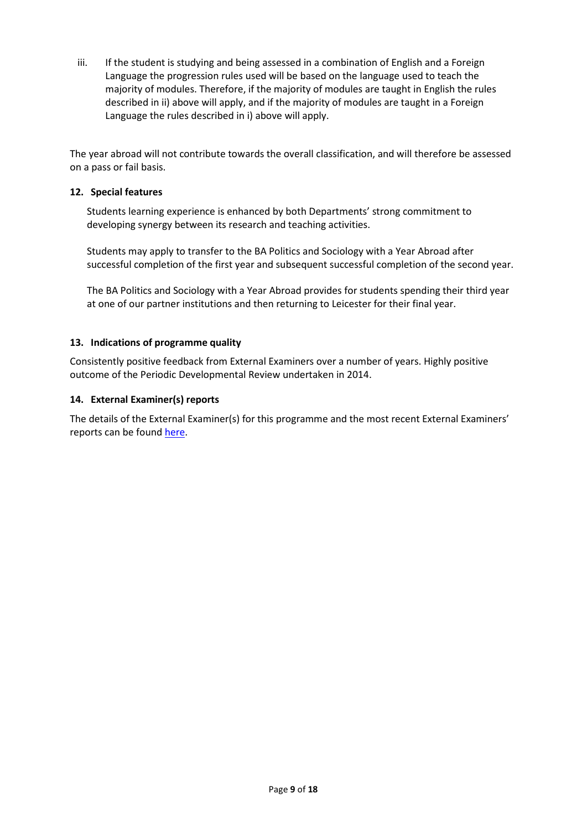iii. If the student is studying and being assessed in a combination of English and a Foreign Language the progression rules used will be based on the language used to teach the majority of modules. Therefore, if the majority of modules are taught in English the rules described in ii) above will apply, and if the majority of modules are taught in a Foreign Language the rules described in i) above will apply.

The year abroad will not contribute towards the overall classification, and will therefore be assessed on a pass or fail basis.

#### **12. Special features**

Students learning experience is enhanced by both Departments' strong commitment to developing synergy between its research and teaching activities.

Students may apply to transfer to the BA Politics and Sociology with a Year Abroad after successful completion of the first year and subsequent successful completion of the second year.

The BA Politics and Sociology with a Year Abroad provides for students spending their third year at one of our partner institutions and then returning to Leicester for their final year.

#### **13. Indications of programme quality**

Consistently positive feedback from External Examiners over a number of years. Highly positive outcome of the Periodic Developmental Review undertaken in 2014.

#### **14. External Examiner(s) reports**

The details of the External Examiner(s) for this programme and the most recent External Examiners' reports can be found [here.](https://exampapers.le.ac.uk/xmlui/handle/123456789/227)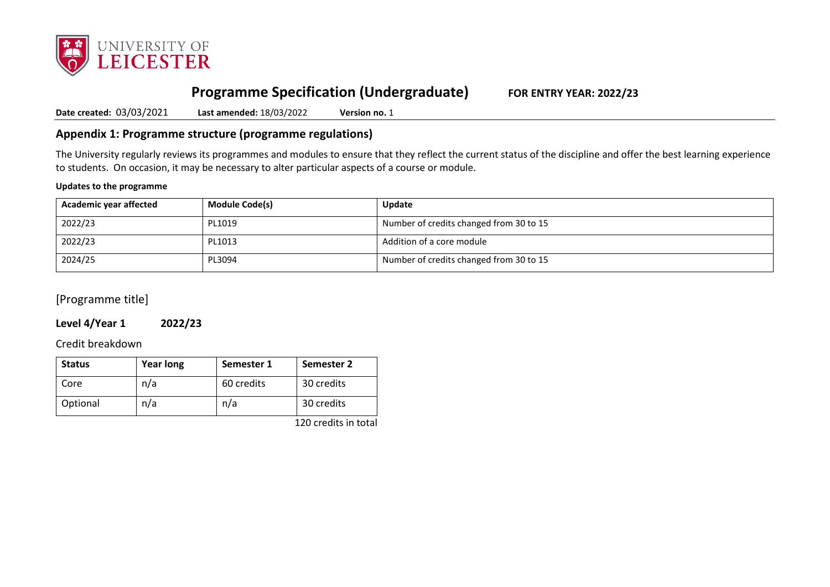

# **Programme Specification (Undergraduate) FOR ENTRY YEAR: 2022/23**

**Date created:** 03/03/2021 **Last amended:** 18/03/2022 **Version no.** 1

## **Appendix 1: Programme structure (programme regulations)**

The University regularly reviews its programmes and modules to ensure that they reflect the current status of the discipline and offer the best learning experience to students. On occasion, it may be necessary to alter particular aspects of a course or module.

#### **Updates to the programme**

| Academic year affected | <b>Module Code(s)</b> | Update                                  |
|------------------------|-----------------------|-----------------------------------------|
| 2022/23                | PL1019                | Number of credits changed from 30 to 15 |
| 2022/23                | PL1013                | Addition of a core module               |
| 2024/25                | PL3094                | Number of credits changed from 30 to 15 |

[Programme title]

## **Level 4/Year 1 2022/23**

Credit breakdown

| <b>Status</b> | <b>Year long</b> | Semester 1 | Semester 2 |
|---------------|------------------|------------|------------|
| Core          | n/a              | 60 credits | 30 credits |
| Optional      | n/a              | n/a        | 30 credits |

120 credits in total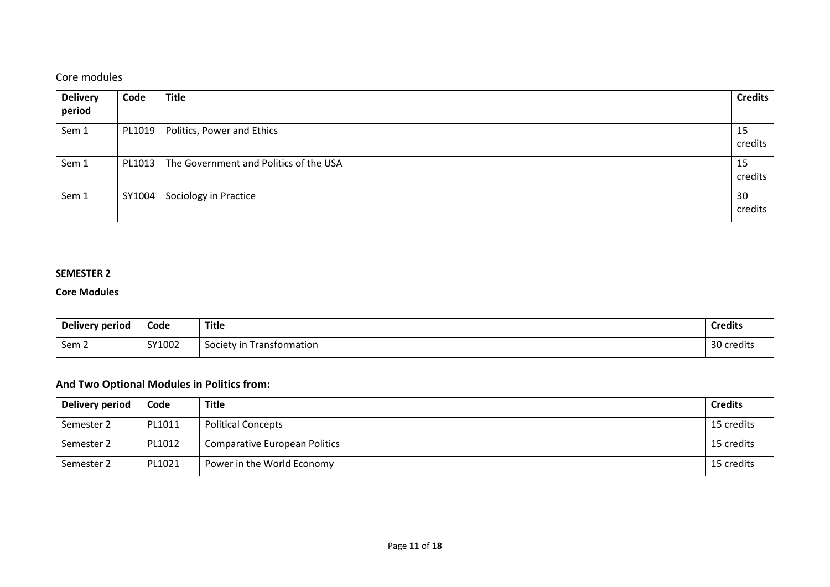## Core modules

| <b>Delivery</b> | Code   | <b>Title</b>                           | <b>Credits</b> |
|-----------------|--------|----------------------------------------|----------------|
| period          |        |                                        |                |
| Sem 1           | PL1019 | Politics, Power and Ethics             | 15             |
|                 |        |                                        | credits        |
| Sem 1           | PL1013 | The Government and Politics of the USA | 15             |
|                 |        |                                        | credits        |
| Sem 1           | SY1004 | Sociology in Practice                  | 30             |
|                 |        |                                        | credits        |

### **SEMESTER 2**

#### **Core Modules**

| Delivery period | Code   | <b>Title</b>                 | <b>Credits</b> |
|-----------------|--------|------------------------------|----------------|
| Sem 2           | SY1002 | Transformation<br>Society in | 30 credits     |

## **And Two Optional Modules in Politics from:**

| Delivery period | Code   | <b>Title</b>                         | <b>Credits</b> |
|-----------------|--------|--------------------------------------|----------------|
| Semester 2      | PL1011 | <b>Political Concepts</b>            | 15 credits     |
| Semester 2      | PL1012 | <b>Comparative European Politics</b> | 15 credits     |
| Semester 2      | PL1021 | Power in the World Economy           | 15 credits     |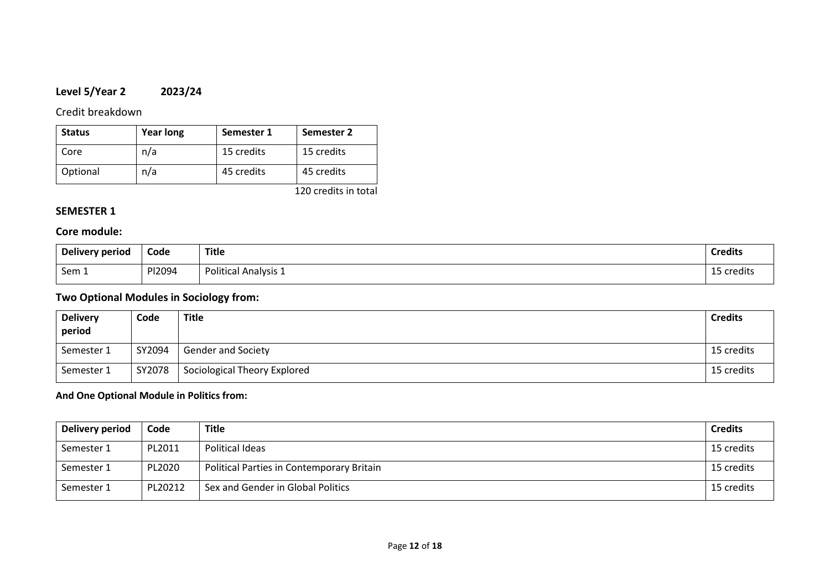## **Level 5/Year 2 2023/24**

Credit breakdown

| <b>Status</b> | <b>Year long</b> | Semester 1 | Semester 2           |
|---------------|------------------|------------|----------------------|
| Core          | n/a              | 15 credits | 15 credits           |
| Optional      | n/a              | 45 credits | 45 credits           |
|               |                  |            | 120 credits in total |

## **SEMESTER 1**

### **Core module:**

| Delivery period | Code   | <b>Title</b>                | <b>Credits</b> |
|-----------------|--------|-----------------------------|----------------|
| Sem 1           | PI2094 | <b>Political Analysis 1</b> | 15 credits     |

## **Two Optional Modules in Sociology from:**

| <b>Delivery</b><br>period | Code   | Title                        | <b>Credits</b> |
|---------------------------|--------|------------------------------|----------------|
| Semester 1                | SY2094 | <b>Gender and Society</b>    | 15 credits     |
| Semester 1                | SY2078 | Sociological Theory Explored | 15 credits     |

### **And One Optional Module in Politics from:**

| Delivery period | Code    | <b>Title</b>                              | <b>Credits</b> |
|-----------------|---------|-------------------------------------------|----------------|
| Semester 1      | PL2011  | Political Ideas                           | 15 credits     |
| Semester 1      | PL2020  | Political Parties in Contemporary Britain | 15 credits     |
| Semester 1      | PL20212 | Sex and Gender in Global Politics         | 15 credits     |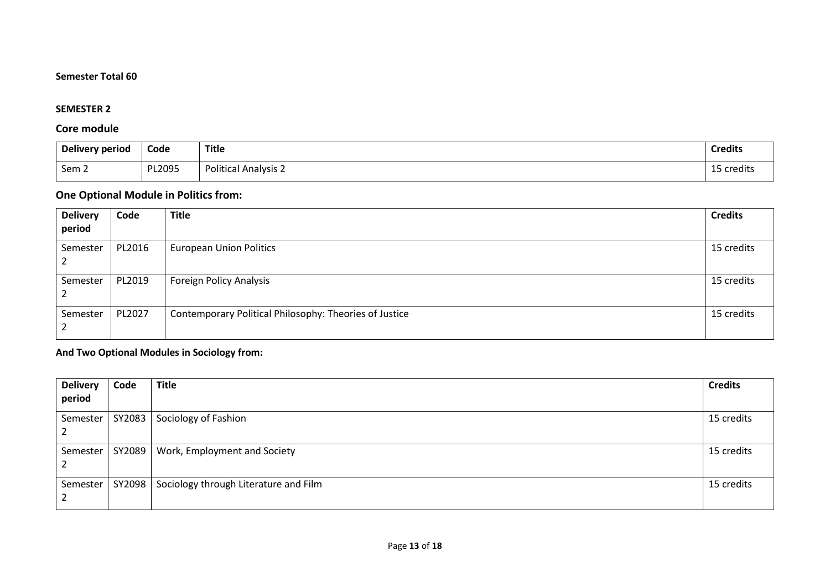## **Semester Total 60**

### **SEMESTER 2**

### **Core module**

| <b>Delivery period</b> | Code   | <b>Title</b>         | <b>Credits</b>     |
|------------------------|--------|----------------------|--------------------|
| Sem 2                  | PL2095 | Political Analysis 2 | - 45<br>15 credits |

## **One Optional Module in Politics from:**

| <b>Delivery</b><br>period | Code   | <b>Title</b>                                           | <b>Credits</b> |
|---------------------------|--------|--------------------------------------------------------|----------------|
| Semester                  | PL2016 | <b>European Union Politics</b>                         | 15 credits     |
| Semester                  | PL2019 | <b>Foreign Policy Analysis</b>                         | 15 credits     |
| Semester                  | PL2027 | Contemporary Political Philosophy: Theories of Justice | 15 credits     |

## **And Two Optional Modules in Sociology from:**

| <b>Delivery</b><br>period | Code   | <b>Title</b>                          | <b>Credits</b> |
|---------------------------|--------|---------------------------------------|----------------|
| Semester                  | SY2083 | Sociology of Fashion                  | 15 credits     |
| Semester                  | SY2089 | Work, Employment and Society          | 15 credits     |
| Semester                  | SY2098 | Sociology through Literature and Film | 15 credits     |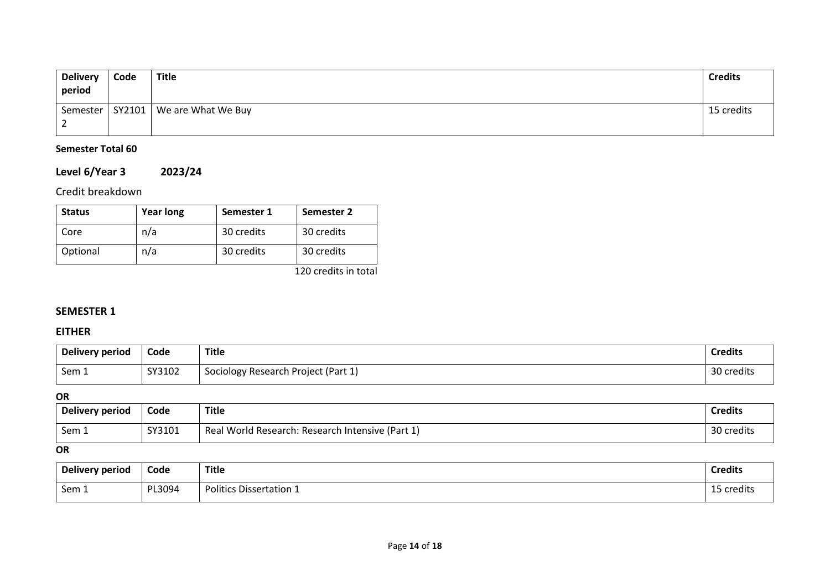| <b>Delivery</b><br>period | Code   | <b>Title</b>       | <b>Credits</b> |
|---------------------------|--------|--------------------|----------------|
| Semester                  | SY2101 | We are What We Buy | 15 credits     |
| <u>_</u>                  |        |                    |                |

## **Semester Total 60**

# **Level 6/Year 3 2023/24**

## Credit breakdown

| <b>Status</b> | <b>Year long</b> | Semester 1 | Semester 2 |
|---------------|------------------|------------|------------|
| Core          | n/a              | 30 credits | 30 credits |
| Optional      | n/a              | 30 credits | 30 credits |

120 credits in total

## **SEMESTER 1**

## **EITHER**

| Delivery period | Code   | <b>Title</b>                        | <b>Credits</b> |
|-----------------|--------|-------------------------------------|----------------|
| Sem 1           | SY3102 | Sociology Research Project (Part 1) | 30 credits     |

## **OR**

| Delivery period | Code   | <b>Title</b>                                          | <b>Credits</b>         |
|-----------------|--------|-------------------------------------------------------|------------------------|
| Sem 1           | SY3101 | Real World Research:<br>: Research Intensive (Part 1) | າດ<br>\        credits |

## **OR**

| Delivery period | Code   | Title                          | <b>Credits</b> |
|-----------------|--------|--------------------------------|----------------|
| Sem 1           | PL3094 | <b>Politics Dissertation 1</b> | 15 credits     |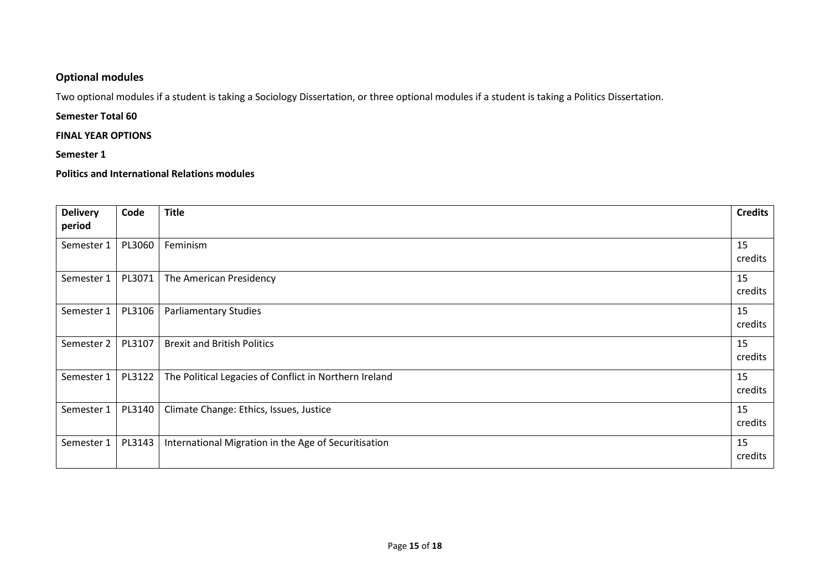## **Optional modules**

Two optional modules if a student is taking a Sociology Dissertation, or three optional modules if a student is taking a Politics Dissertation.

### **Semester Total 60**

#### **FINAL YEAR OPTIONS**

### **Semester 1**

**Politics and International Relations modules**

| <b>Delivery</b><br>period | Code   | <b>Title</b>                                           | <b>Credits</b> |
|---------------------------|--------|--------------------------------------------------------|----------------|
|                           |        |                                                        |                |
| Semester 1                | PL3060 | Feminism                                               | 15<br>credits  |
| Semester 1                | PL3071 | The American Presidency                                | 15<br>credits  |
| Semester 1                | PL3106 | <b>Parliamentary Studies</b>                           | 15<br>credits  |
| Semester 2                | PL3107 | <b>Brexit and British Politics</b>                     | 15<br>credits  |
| Semester 1                | PL3122 | The Political Legacies of Conflict in Northern Ireland | 15<br>credits  |
| Semester 1                | PL3140 | Climate Change: Ethics, Issues, Justice                | 15<br>credits  |
| Semester 1                | PL3143 | International Migration in the Age of Securitisation   | 15<br>credits  |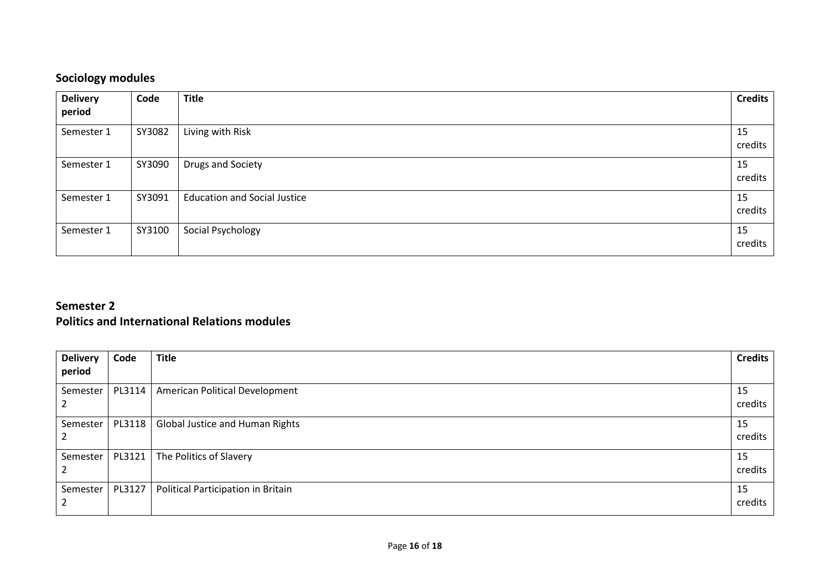# **Sociology modules**

| <b>Delivery</b><br>period | Code   | <b>Title</b>                        | <b>Credits</b> |
|---------------------------|--------|-------------------------------------|----------------|
| Semester 1                | SY3082 | Living with Risk                    | 15<br>credits  |
| Semester 1                | SY3090 | Drugs and Society                   | 15<br>credits  |
| Semester 1                | SY3091 | <b>Education and Social Justice</b> | 15<br>credits  |
| Semester 1                | SY3100 | Social Psychology                   | 15<br>credits  |

## **Semester 2 Politics and International Relations modules**

| <b>Delivery</b><br>period | Code   | <b>Title</b>                       | <b>Credits</b> |
|---------------------------|--------|------------------------------------|----------------|
| Semester                  | PL3114 | American Political Development     | 15<br>credits  |
| Semester                  | PL3118 | Global Justice and Human Rights    | 15<br>credits  |
| Semester                  | PL3121 | The Politics of Slavery            | 15<br>credits  |
| Semester                  | PL3127 | Political Participation in Britain | 15<br>credits  |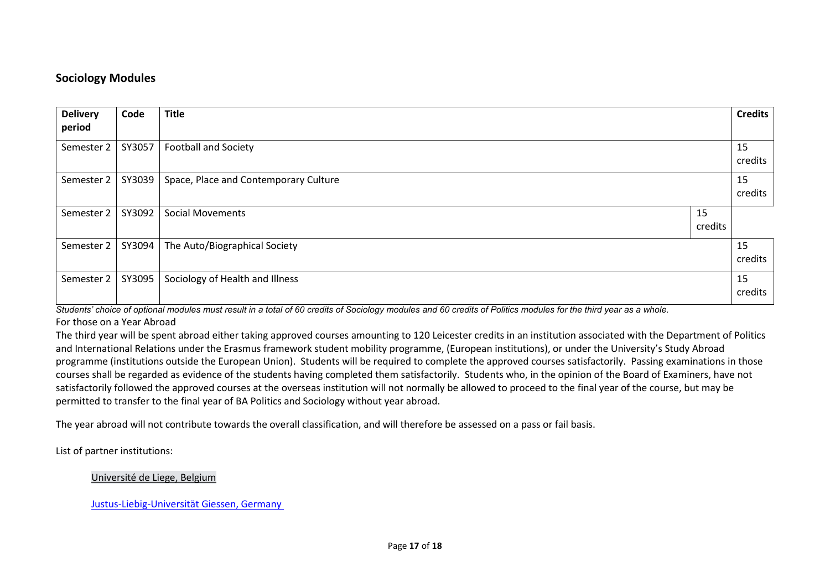## **Sociology Modules**

| <b>Delivery</b><br>period | Code   | <b>Title</b>                          |               | <b>Credits</b> |
|---------------------------|--------|---------------------------------------|---------------|----------------|
| Semester 2                | SY3057 | <b>Football and Society</b>           |               | 15<br>credits  |
| Semester 2                | SY3039 | Space, Place and Contemporary Culture |               | 15<br>credits  |
| Semester 2                | SY3092 | <b>Social Movements</b>               | 15<br>credits |                |
| Semester 2                | SY3094 | The Auto/Biographical Society         |               | 15<br>credits  |
| Semester 2                | SY3095 | Sociology of Health and Illness       |               | 15<br>credits  |

*Students' choice of optional modules must result in a total of 60 credits of Sociology modules and 60 credits of Politics modules for the third year as a whole.* For those on a Year Abroad

The third year will be spent abroad either taking approved courses amounting to 120 Leicester credits in an institution associated with the Department of Politics and International Relations under the Erasmus framework student mobility programme, (European institutions), or under the University's Study Abroad programme (institutions outside the European Union). Students will be required to complete the approved courses satisfactorily. Passing examinations in those courses shall be regarded as evidence of the students having completed them satisfactorily. Students who, in the opinion of the Board of Examiners, have not satisfactorily followed the approved courses at the overseas institution will not normally be allowed to proceed to the final year of the course, but may be permitted to transfer to the final year of BA Politics and Sociology without year abroad.

The year abroad will not contribute towards the overall classification, and will therefore be assessed on a pass or fail basis.

List of partner institutions:

Université [de Liege, Belgium](https://www.ulg.ac.be/cms/c_5000/en/home)

[Justus-Liebig-Universität Giessen, Germany](http://www.uni-giessen.de/)